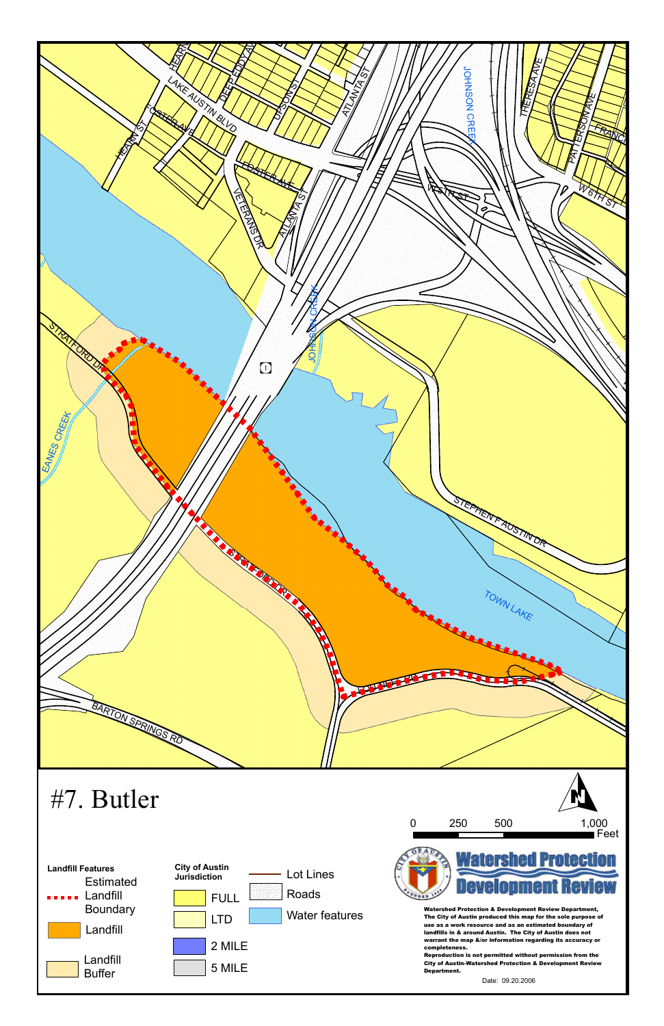



completeness.<br>Reproduction is not permitted without permission from the<br>City of Auctin Wetershed Pretection & Develonment Peview Reproduction is not permitted without permission from the<br>City of Austin-Watershed Protection & Development Review<br>Department.<br>Date: 09.20.2006 Department.



Date: 09.20.2006

## #7. Butler

Watershed Protection & Development Review Department, The City of Austin produced this map for the sole purpose of use as a work resource and as an estimated boundary of landfills in & around Austin. The City of Austin does not warrant the map &/or information regarding its accuracy or completeness.